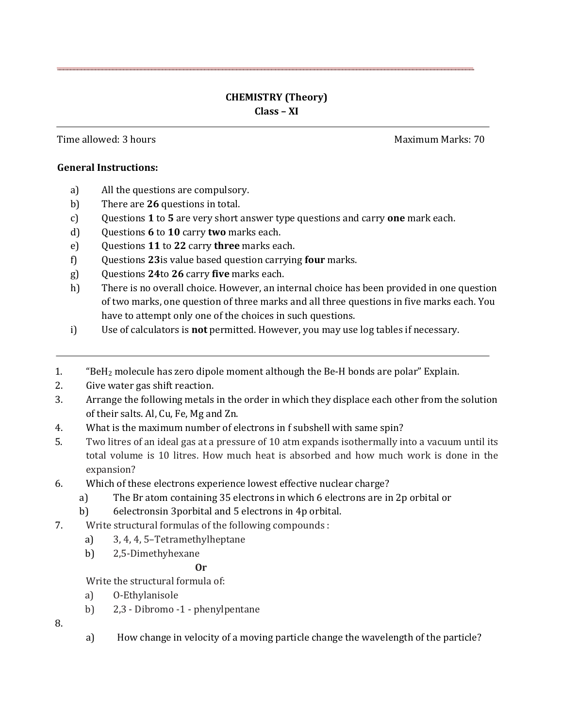## **CHEMISTRY (Theory) Class – XI**

Time allowed: 3 hours Maximum Marks: 70

## **General Instructions:**

- a) All the questions are compulsory.
- b) There are **26** questions in total.
- c) Questions **1** to **5** are very short answer type questions and carry **one** mark each.
- d) Questions **6** to **10** carry **two** marks each.
- e) Questions **11** to **22** carry **three** marks each.
- f) Questions **23**is value based question carrying **four** marks.
- g) Questions **24**to **26** carry **five** marks each.
- h) There is no overall choice. However, an internal choice has been provided in one question of two marks, one question of three marks and all three questions in five marks each. You have to attempt only one of the choices in such questions.
- i) Use of calculators is **not** permitted. However, you may use log tables if necessary.
- 1. "BeH<sup>2</sup> molecule has zero dipole moment although the Be-H bonds are polar" Explain.
- 2. Give water gas shift reaction.
- 3. Arrange the following metals in the order in which they displace each other from the solution of their salts. Al, Cu, Fe, Mg and Zn.
- 4. What is the maximum number of electrons in f subshell with same spin?
- 5. Two litres of an ideal gas at a pressure of 10 atm expands isothermally into a vacuum until its total volume is 10 litres. How much heat is absorbed and how much work is done in the expansion?
- 6. Which of these electrons experience lowest effective nuclear charge?
	- a) The Br atom containing 35 electrons in which 6 electrons are in 2p orbital or
	- b) 6electronsin 3porbital and 5 electrons in 4p orbital.
- 7. Write structural formulas of the following compounds :
	- a) 3, 4, 4, 5–Tetramethylheptane
	- b) 2,5-Dimethyhexane

## **Or**

Write the structural formula of:

- a) O-Ethylanisole
- b) 2,3 Dibromo -1 phenylpentane

8.

a) How change in velocity of a moving particle change the wavelength of the particle?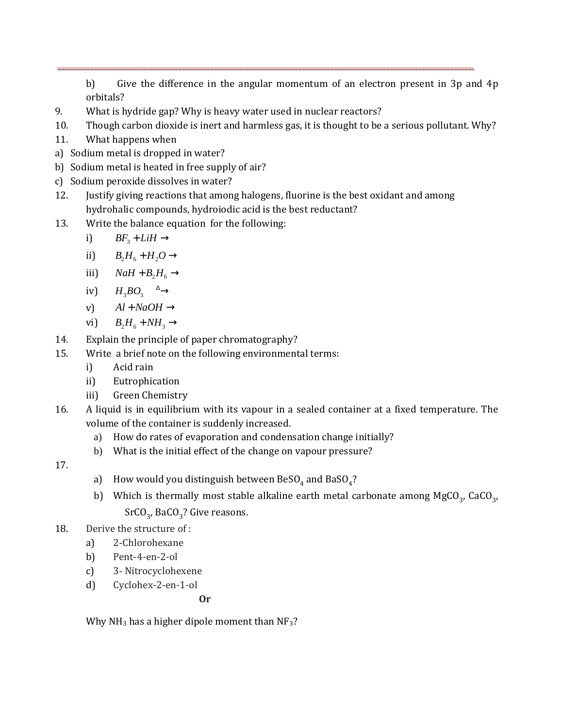b) Give the difference in the angular momentum of an electron present in 3p and 4p orbitals?

- 9. What is hydride gap? Why is heavy water used in nuclear reactors?
- 10. Though carbon dioxide is inert and harmless gas, it is thought to be a serious pollutant. Why?
- 11. What happens when
- a) Sodium metal is dropped in water?
- b) Sodium metal is heated in free supply of air?
- c) Sodium peroxide dissolves in water?
- 12. Justify giving reactions that among halogens, fluorine is the best oxidant and among hydrohalic compounds, hydroiodic acid is the best reductant?
- 13. Write the balance equation for the following:

i) 
$$
BF_3 + LiH \rightarrow
$$

- ii)  $B_2H_6 + H_2O \rightarrow$
- iii)  $NaH + B_2H_6 \rightarrow$
- iv)  $H_2BO_2 \stackrel{\Delta}{\longrightarrow}$
- v)  $Al + NaOH \rightarrow$
- vi)  $B_2H_6 + NH_3 \rightarrow$
- 14. Explain the principle of paper chromatography?
- 15. Write a brief note on the following environmental terms:
	- i) Acid rain
	- ii) Eutrophication
	- iii) Green Chemistry
- 16. A liquid is in equilibrium with its vapour in a sealed container at a fixed temperature. The volume of the container is suddenly increased.
	- a) How do rates of evaporation and condensation change initially?
	- b) What is the initial effect of the change on vapour pressure?
- 17.
- a)  $\;$  How would you distinguish between BeSO $_4$  and BaSO $_4?$
- b) Which is thermally most stable alkaline earth metal carbonate among  ${ {\rm MgCO}_{3'} }$ , CaCO<sub>3</sub>,  $\text{SrCO}_3$ , Ba $\text{CO}_3$ ? Give reasons.
- 18. Derive the structure of :
	- a) 2-Chlorohexane
	- b) Pent-4-en-2-ol
	- c) 3- Nitrocyclohexene
	- d) Cyclohex-2-en-1-ol

**Or** 

Why NH<sub>3</sub> has a higher dipole moment than NF<sub>3</sub>?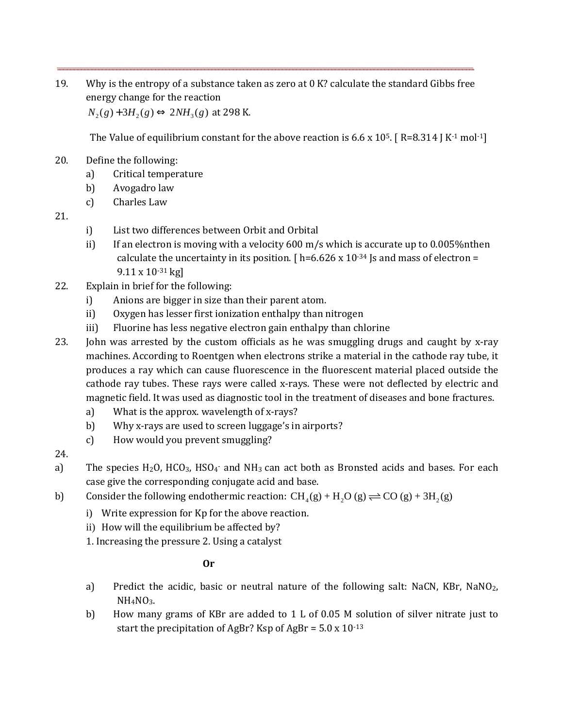19. Why is the entropy of a substance taken as zero at 0 K? calculate the standard Gibbs free energy change for the reaction

 $N_2(g) + 3H_2(g) \Leftrightarrow 2NH_3(g)$  at 298 K.

The Value of equilibrium constant for the above reaction is 6.6 x 10<sup>5</sup>. [R=8.314 J K<sup>-1</sup> mol<sup>-1</sup>]

- 20. Define the following:
	- a) Critical temperature
	- b) Avogadro law
	- c) Charles Law
- 21.
- i) List two differences between Orbit and Orbital
- ii) If an electron is moving with a velocity  $600 \text{ m/s}$  which is accurate up to 0.005% nthen calculate the uncertainty in its position.  $[ h=6.626 \times 10^{-34} ]$  is and mass of electron = 9.11 x 10-31 kg]
- 22. Explain in brief for the following:
	- i) Anions are bigger in size than their parent atom.
	- ii) Oxygen has lesser first ionization enthalpy than nitrogen
	- iii) Fluorine has less negative electron gain enthalpy than chlorine
- 23. John was arrested by the custom officials as he was smuggling drugs and caught by x-ray machines. According to Roentgen when electrons strike a material in the cathode ray tube, it produces a ray which can cause fluorescence in the fluorescent material placed outside the cathode ray tubes. These rays were called x-rays. These were not deflected by electric and magnetic field. It was used as diagnostic tool in the treatment of diseases and bone fractures.
	- a) What is the approx. wavelength of x-rays?
	- b) Why x-rays are used to screen luggage's in airports?
	- c) How would you prevent smuggling?
- 24.
- a) The species  $H_2O$ ,  $HCO_3$ ,  $HSO_4$  and  $NH_3$  can act both as Bronsted acids and bases. For each case give the corresponding conjugate acid and base.
- b) Consider the following endothermic reaction:  $CH<sub>4</sub>(g) + H<sub>2</sub>O(g) \rightleftharpoons CO(g) + 3H<sub>2</sub>(g)$ 
	- i) Write expression for Kp for the above reaction.
	- ii) How will the equilibrium be affected by?
	- 1. Increasing the pressure 2. Using a catalyst

## **Or**

- a) Predict the acidic, basic or neutral nature of the following salt: NaCN, KBr, NaNO<sub>2</sub>,  $NH<sub>4</sub>NO<sub>3</sub>$ .
- b) How many grams of KBr are added to 1 L of 0.05 M solution of silver nitrate just to start the precipitation of AgBr? Ksp of AgBr =  $5.0 \times 10^{-13}$